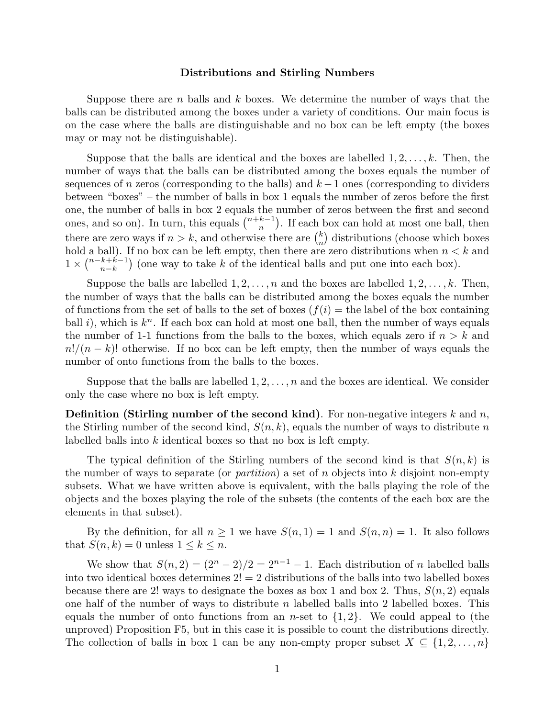## Distributions and Stirling Numbers

Suppose there are n balls and  $k$  boxes. We determine the number of ways that the balls can be distributed among the boxes under a variety of conditions. Our main focus is on the case where the balls are distinguishable and no box can be left empty (the boxes may or may not be distinguishable).

Suppose that the balls are identical and the boxes are labelled  $1, 2, \ldots, k$ . Then, the number of ways that the balls can be distributed among the boxes equals the number of sequences of n zeros (corresponding to the balls) and  $k-1$  ones (corresponding to dividers between "boxes" – the number of balls in box 1 equals the number of zeros before the first one, the number of balls in box 2 equals the number of zeros between the first and second ones, and so on). In turn, this equals  $\binom{n+k-1}{n}$  $\binom{k-1}{n}$ . If each box can hold at most one ball, then there are zero ways if  $n > k$ , and otherwise there are  $\binom{k}{n}$  $\binom{k}{n}$  distributions (choose which boxes hold a ball). If no box can be left empty, then there are zero distributions when  $n < k$  and  $1 \times \binom{n-k+k-1}{n-k}$  $\binom{k+k-1}{n-k}$  (one way to take k of the identical balls and put one into each box).

Suppose the balls are labelled  $1, 2, \ldots, n$  and the boxes are labelled  $1, 2, \ldots, k$ . Then, the number of ways that the balls can be distributed among the boxes equals the number of functions from the set of balls to the set of boxes  $(f(i) =$  the label of the box containing ball i), which is  $k<sup>n</sup>$ . If each box can hold at most one ball, then the number of ways equals the number of 1-1 functions from the balls to the boxes, which equals zero if  $n > k$  and  $n!/(n-k)!$  otherwise. If no box can be left empty, then the number of ways equals the number of onto functions from the balls to the boxes.

Suppose that the balls are labelled  $1, 2, \ldots, n$  and the boxes are identical. We consider only the case where no box is left empty.

**Definition (Stirling number of the second kind)**. For non-negative integers k and  $n$ , the Stirling number of the second kind,  $S(n, k)$ , equals the number of ways to distribute n labelled balls into k identical boxes so that no box is left empty.

The typical definition of the Stirling numbers of the second kind is that  $S(n, k)$  is the number of ways to separate (or *partition*) a set of n objects into  $k$  disjoint non-empty subsets. What we have written above is equivalent, with the balls playing the role of the objects and the boxes playing the role of the subsets (the contents of the each box are the elements in that subset).

By the definition, for all  $n \geq 1$  we have  $S(n, 1) = 1$  and  $S(n, n) = 1$ . It also follows that  $S(n, k) = 0$  unless  $1 \leq k \leq n$ .

We show that  $S(n, 2) = (2<sup>n</sup> - 2)/2 = 2<sup>n-1</sup> - 1$ . Each distribution of n labelled balls into two identical boxes determines  $2! = 2$  distributions of the balls into two labelled boxes because there are 2! ways to designate the boxes as box 1 and box 2. Thus,  $S(n, 2)$  equals one half of the number of ways to distribute n labelled balls into 2 labelled boxes. This equals the number of onto functions from an *n*-set to  $\{1,2\}$ . We could appeal to (the unproved) Proposition F5, but in this case it is possible to count the distributions directly. The collection of balls in box 1 can be any non-empty proper subset  $X \subseteq \{1, 2, ..., n\}$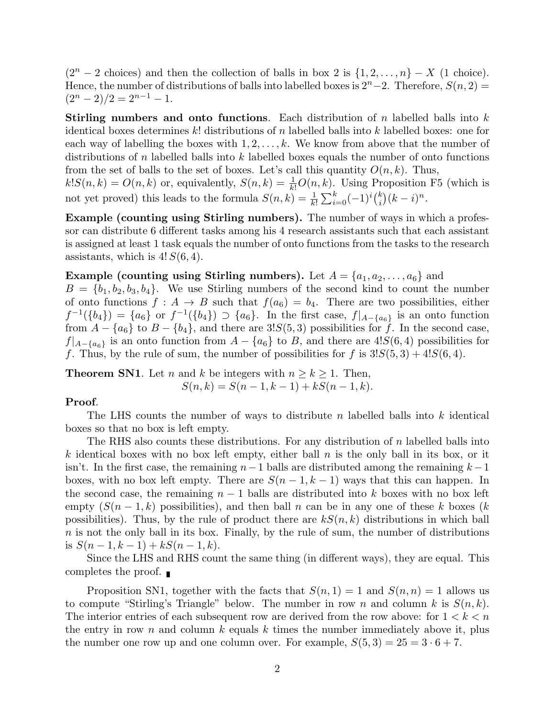$(2<sup>n</sup> - 2$  choices) and then the collection of balls in box 2 is  $\{1, 2, ..., n\} - X$  (1 choice). Hence, the number of distributions of balls into labelled boxes is  $2<sup>n</sup> - 2$ . Therefore,  $S(n, 2) =$  $(2^{n} - 2)/2 = 2^{n-1} - 1.$ 

Stirling numbers and onto functions. Each distribution of n labelled balls into k identical boxes determines k! distributions of n labelled balls into k labelled boxes: one for each way of labelling the boxes with  $1, 2, \ldots, k$ . We know from above that the number of distributions of n labelled balls into  $k$  labelled boxes equals the number of onto functions from the set of balls to the set of boxes. Let's call this quantity  $O(n, k)$ . Thus,

 $k!S(n,k) = O(n,k)$  or, equivalently,  $S(n,k) = \frac{1}{k!}O(n,k)$ . Using Proposition F5 (which is not yet proved) this leads to the formula  $S(n,k) = \frac{1}{k!} \sum_{i=0}^{k} (-1)^i {k \choose i}$  $\binom{k}{i}(k-i)^n$ .

Example (counting using Stirling numbers). The number of ways in which a professor can distribute 6 different tasks among his 4 research assistants such that each assistant is assigned at least 1 task equals the number of onto functions from the tasks to the research assistants, which is  $4! S(6,4)$ .

## Example (counting using Stirling numbers). Let  $A = \{a_1, a_2, \ldots, a_6\}$  and

 $B = \{b_1, b_2, b_3, b_4\}.$  We use Stirling numbers of the second kind to count the number of onto functions  $f : A \to B$  such that  $f(a_6) = b_4$ . There are two possibilities, either  $f^{-1}(\{b_4\}) = \{a_6\}$  or  $f^{-1}(\{b_4\}) \supset \{a_6\}$ . In the first case,  $f|_{A-\{a_6\}}$  is an onto function from  $A - \{a_6\}$  to  $B - \{b_4\}$ , and there are 3! $S(5,3)$  possibilities for f. In the second case,  $f|_{A-\{a_6\}}$  is an onto function from  $A - \{a_6\}$  to B, and there are 4! $S(6,4)$  possibilities for f. Thus, by the rule of sum, the number of possibilities for f is  $3!S(5,3) + 4!S(6,4)$ .

**Theorem SN1.** Let n and k be integers with  $n \geq k \geq 1$ . Then,  $S(n, k) = S(n - 1, k - 1) + kS(n - 1, k).$ 

## Proof.

The LHS counts the number of ways to distribute n labelled balls into  $k$  identical boxes so that no box is left empty.

The RHS also counts these distributions. For any distribution of  $n$  labelled balls into k identical boxes with no box left empty, either ball  $n$  is the only ball in its box, or it isn't. In the first case, the remaining  $n-1$  balls are distributed among the remaining  $k-1$ boxes, with no box left empty. There are  $S(n-1, k-1)$  ways that this can happen. In the second case, the remaining  $n-1$  balls are distributed into k boxes with no box left empty  $(S(n-1,k))$  possibilities), and then ball n can be in any one of these k boxes (k possibilities). Thus, by the rule of product there are  $kS(n, k)$  distributions in which ball  $n$  is not the only ball in its box. Finally, by the rule of sum, the number of distributions is  $S(n-1, k-1) + kS(n-1, k)$ .

Since the LHS and RHS count the same thing (in different ways), they are equal. This completes the proof.  $\blacksquare$ 

Proposition SN1, together with the facts that  $S(n, 1) = 1$  and  $S(n, n) = 1$  allows us to compute "Stirling's Triangle" below. The number in row n and column k is  $S(n, k)$ . The interior entries of each subsequent row are derived from the row above: for  $1 < k < n$ the entry in row n and column  $k$  equals k times the number immediately above it, plus the number one row up and one column over. For example,  $S(5,3) = 25 = 3 \cdot 6 + 7$ .